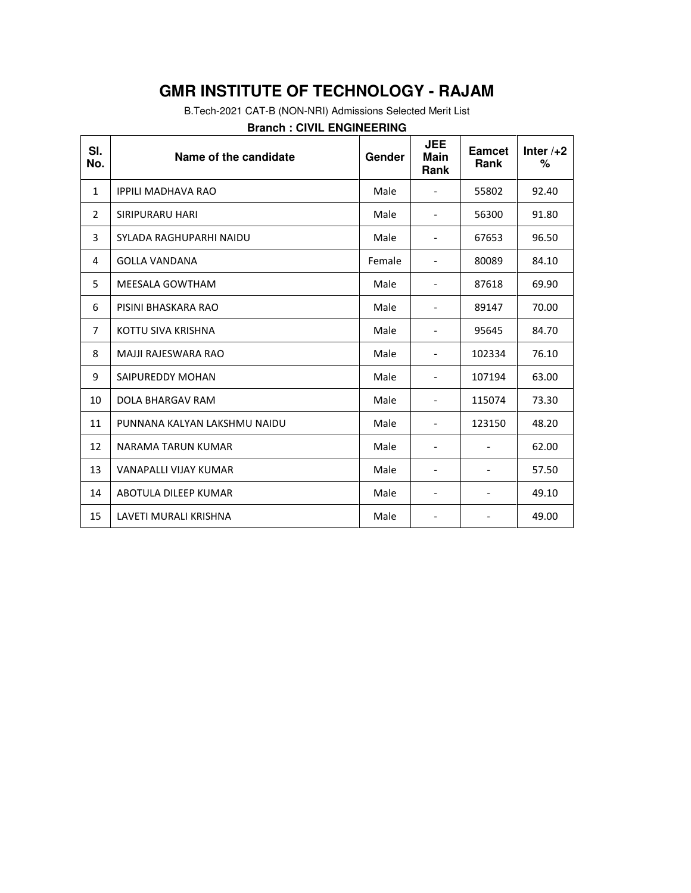B.Tech-2021 CAT-B (NON-NRI) Admissions Selected Merit List

### **Branch : CIVIL ENGINEERING**

| SI.<br>No.     | Name of the candidate        | Gender | <b>JEE</b><br><b>Main</b><br>Rank | Eamcet<br><b>Rank</b> | Inter $/+2$<br>$\%$ |
|----------------|------------------------------|--------|-----------------------------------|-----------------------|---------------------|
| $\mathbf{1}$   | <b>IPPILI MADHAVA RAO</b>    | Male   |                                   | 55802                 | 92.40               |
| $\overline{2}$ | SIRIPURARU HARI              | Male   |                                   | 56300                 | 91.80               |
| 3              | SYLADA RAGHUPARHI NAIDU      | Male   |                                   | 67653                 | 96.50               |
| 4              | <b>GOLLA VANDANA</b>         | Female | $\overline{\phantom{0}}$          | 80089                 | 84.10               |
| 5              | <b>MEESALA GOWTHAM</b>       | Male   |                                   | 87618                 | 69.90               |
| 6              | PISINI BHASKARA RAO          | Male   |                                   | 89147                 | 70.00               |
| $\overline{7}$ | KOTTU SIVA KRISHNA           | Male   |                                   | 95645                 | 84.70               |
| 8              | <b>MAJJI RAJESWARA RAO</b>   | Male   |                                   | 102334                | 76.10               |
| 9              | SAIPUREDDY MOHAN             | Male   |                                   | 107194                | 63.00               |
| 10             | DOLA BHARGAV RAM             | Male   |                                   | 115074                | 73.30               |
| 11             | PUNNANA KALYAN LAKSHMU NAIDU | Male   | $\overline{\phantom{0}}$          | 123150                | 48.20               |
| 12             | NARAMA TARUN KUMAR           | Male   |                                   |                       | 62.00               |
| 13             | VANAPALLI VIJAY KUMAR        | Male   |                                   |                       | 57.50               |
| 14             | ABOTULA DILEEP KUMAR         | Male   |                                   |                       | 49.10               |
| 15             | LAVETI MURALI KRISHNA        | Male   |                                   |                       | 49.00               |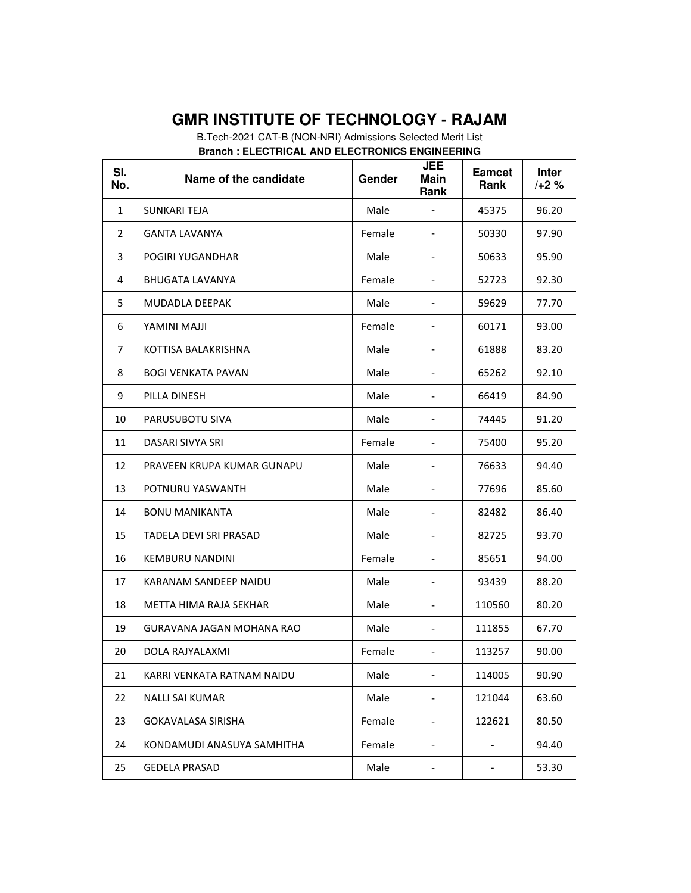B.Tech-2021 CAT-B (NON-NRI) Admissions Selected Merit List **Branch : ELECTRICAL AND ELECTRONICS ENGINEERING** 

| SI.<br>No.   | Name of the candidate            | Gender | <b>JEE</b><br>Main<br>Rank   | <b>Eamcet</b><br>Rank        | <b>Inter</b><br>$/+2%$ |
|--------------|----------------------------------|--------|------------------------------|------------------------------|------------------------|
| $\mathbf{1}$ | SUNKARI TEJA                     | Male   |                              | 45375                        | 96.20                  |
| 2            | <b>GANTA LAVANYA</b>             | Female | ۰                            | 50330                        | 97.90                  |
| 3            | POGIRI YUGANDHAR                 | Male   |                              | 50633                        | 95.90                  |
| 4            | <b>BHUGATA LAVANYA</b>           | Female |                              | 52723                        | 92.30                  |
| 5            | MUDADLA DEEPAK                   | Male   |                              | 59629                        | 77.70                  |
| 6            | IllAM INIMAY                     | Female |                              | 60171                        | 93.00                  |
| 7            | KOTTISA BALAKRISHNA              | Male   | $\overline{\phantom{a}}$     | 61888                        | 83.20                  |
| 8            | <b>BOGI VENKATA PAVAN</b>        | Male   | $\qquad \qquad \blacksquare$ | 65262                        | 92.10                  |
| 9            | PILLA DINESH                     | Male   |                              | 66419                        | 84.90                  |
| 10           | PARUSUBOTU SIVA                  | Male   | $\overline{\phantom{a}}$     | 74445                        | 91.20                  |
| 11           | DASARI SIVYA SRI                 | Female |                              | 75400                        | 95.20                  |
| 12           | PRAVEEN KRUPA KUMAR GUNAPU       | Male   |                              | 76633                        | 94.40                  |
| 13           | POTNURU YASWANTH                 | Male   |                              | 77696                        | 85.60                  |
| 14           | <b>BONU MANIKANTA</b>            | Male   | $\overline{\phantom{0}}$     | 82482                        | 86.40                  |
| 15           | TADELA DEVI SRI PRASAD           | Male   |                              | 82725                        | 93.70                  |
| 16           | <b>KEMBURU NANDINI</b>           | Female | $\qquad \qquad \blacksquare$ | 85651                        | 94.00                  |
| 17           | KARANAM SANDEEP NAIDU            | Male   | -                            | 93439                        | 88.20                  |
| 18           | METTA HIMA RAJA SEKHAR           | Male   |                              | 110560                       | 80.20                  |
| 19           | <b>GURAVANA JAGAN MOHANA RAO</b> | Male   |                              | 111855                       | 67.70                  |
| 20           | DOLA RAJYALAXMI                  | Female | $\overline{a}$               | 113257                       | 90.00                  |
| 21           | KARRI VENKATA RATNAM NAIDU       | Male   | $\overline{\phantom{0}}$     | 114005                       | 90.90                  |
| 22           | <b>NALLI SAI KUMAR</b>           | Male   | $\qquad \qquad \blacksquare$ | 121044                       | 63.60                  |
| 23           | <b>GOKAVALASA SIRISHA</b>        | Female | -                            | 122621                       | 80.50                  |
| 24           | KONDAMUDI ANASUYA SAMHITHA       | Female | -                            | $\qquad \qquad \blacksquare$ | 94.40                  |
| 25           | <b>GEDELA PRASAD</b>             | Male   | -                            | $\overline{\phantom{a}}$     | 53.30                  |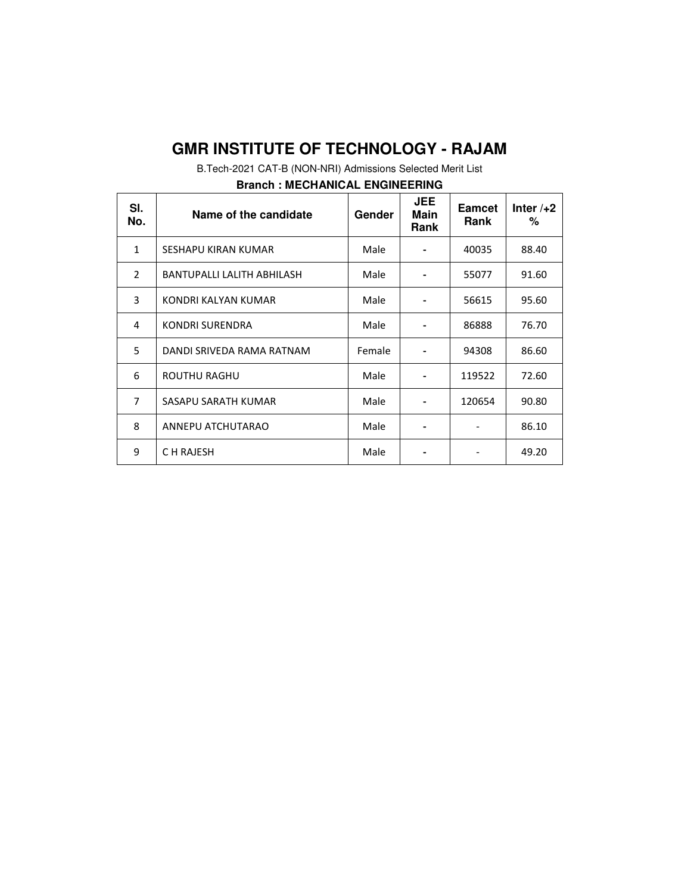B.Tech-2021 CAT-B (NON-NRI) Admissions Selected Merit List

| SI.<br>No.              | Name of the candidate      | Gender | <b>JEE</b><br>Main<br><b>Rank</b> | <b>Eamcet</b><br>Rank | Inter $/+2$<br>℅ |
|-------------------------|----------------------------|--------|-----------------------------------|-----------------------|------------------|
| $\mathbf{1}$            | SESHAPU KIRAN KUMAR        | Male   |                                   | 40035                 | 88.40            |
| $\overline{\mathbf{z}}$ | BANTUPALLI LALITH ABHILASH | Male   |                                   | 55077                 | 91.60            |
| 3                       | KONDRI KALYAN KUMAR        | Male   |                                   | 56615                 | 95.60            |
| 4                       | KONDRI SURENDRA            | Male   |                                   | 86888                 | 76.70            |
| 5                       | DANDI SRIVEDA RAMA RATNAM  | Female |                                   | 94308                 | 86.60            |
| 6                       | <b>ROUTHU RAGHU</b>        | Male   |                                   | 119522                | 72.60            |
| $\overline{7}$          | SASAPU SARATH KUMAR        | Male   |                                   | 120654                | 90.80            |
| 8                       | ANNEPU ATCHUTARAO          | Male   |                                   |                       | 86.10            |
| 9                       | C H RAJESH                 | Male   |                                   |                       | 49.20            |

#### **Branch : MECHANICAL ENGINEERING**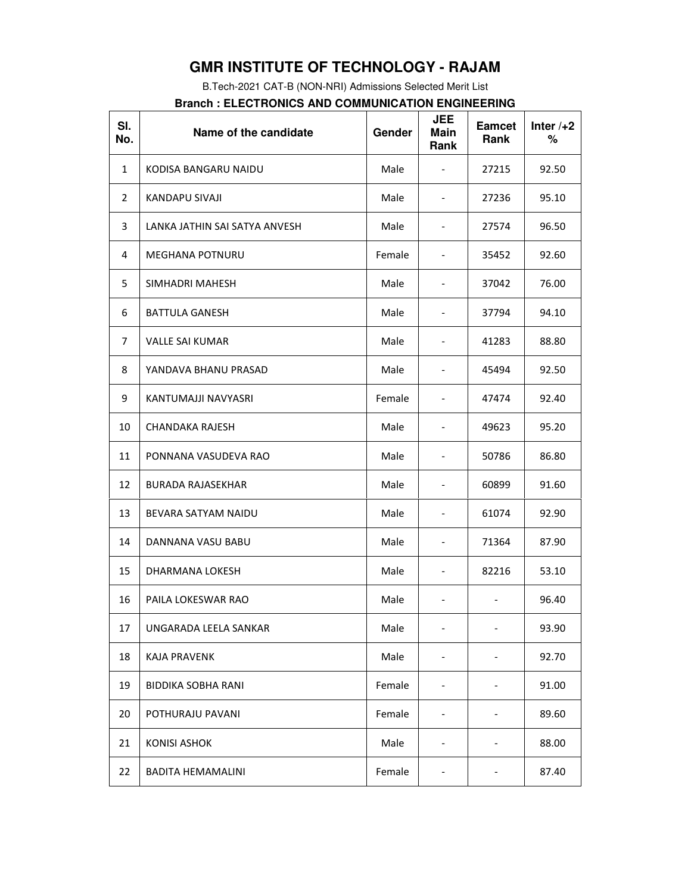B.Tech-2021 CAT-B (NON-NRI) Admissions Selected Merit List

#### **Branch : ELECTRONICS AND COMMUNICATION ENGINEERING**

| SI.<br>No.     | Name of the candidate         | Gender | <b>JEE</b><br><b>Main</b><br>Rank | <b>Eamcet</b><br>Rank    | Inter $/+2$<br>% |
|----------------|-------------------------------|--------|-----------------------------------|--------------------------|------------------|
| $\mathbf{1}$   | KODISA BANGARU NAIDU          | Male   | $\overline{\phantom{a}}$          | 27215                    | 92.50            |
| $\overline{2}$ | KANDAPU SIVAJI                | Male   | $\overline{\phantom{a}}$          | 27236                    | 95.10            |
| 3              | LANKA JATHIN SAI SATYA ANVESH | Male   | $\overline{\phantom{0}}$          | 27574                    | 96.50            |
| 4              | <b>MEGHANA POTNURU</b>        | Female | $\overline{\phantom{0}}$          | 35452                    | 92.60            |
| 5              | SIMHADRI MAHESH               | Male   | $\overline{\phantom{a}}$          | 37042                    | 76.00            |
| 6              | <b>BATTULA GANESH</b>         | Male   | $\overline{\phantom{a}}$          | 37794                    | 94.10            |
| 7              | <b>VALLE SAI KUMAR</b>        | Male   | $\overline{\phantom{0}}$          | 41283                    | 88.80            |
| 8              | YANDAVA BHANU PRASAD          | Male   |                                   | 45494                    | 92.50            |
| 9              | KANTUMAJJI NAVYASRI           | Female | $\overline{\phantom{0}}$          | 47474                    | 92.40            |
| 10             | <b>CHANDAKA RAJESH</b>        | Male   | $\overline{\phantom{0}}$          | 49623                    | 95.20            |
| 11             | PONNANA VASUDEVA RAO          | Male   | $\overline{\phantom{0}}$          | 50786                    | 86.80            |
| 12             | <b>BURADA RAJASEKHAR</b>      | Male   | $\overline{\phantom{0}}$          | 60899                    | 91.60            |
| 13             | BEVARA SATYAM NAIDU           | Male   | $\overline{\phantom{0}}$          | 61074                    | 92.90            |
| 14             | DANNANA VASU BABU             | Male   | $\overline{\phantom{0}}$          | 71364                    | 87.90            |
| 15             | DHARMANA LOKESH               | Male   | $\overline{\phantom{0}}$          | 82216                    | 53.10            |
| 16             | PAILA LOKESWAR RAO            | Male   |                                   |                          | 96.40            |
| 17             | UNGARADA LEELA SANKAR         | Male   |                                   |                          | 93.90            |
| 18             | <b>KAJA PRAVENK</b>           | Male   |                                   |                          | 92.70            |
| 19             | <b>BIDDIKA SOBHA RANI</b>     | Female | -                                 | $\overline{\phantom{a}}$ | 91.00            |
| 20             | POTHURAJU PAVANI              | Female | $\overline{\phantom{0}}$          | $\qquad \qquad -$        | 89.60            |
| 21             | <b>KONISI ASHOK</b>           | Male   | -                                 | $\overline{\phantom{a}}$ | 88.00            |
| 22             | <b>BADITA HEMAMALINI</b>      | Female |                                   |                          | 87.40            |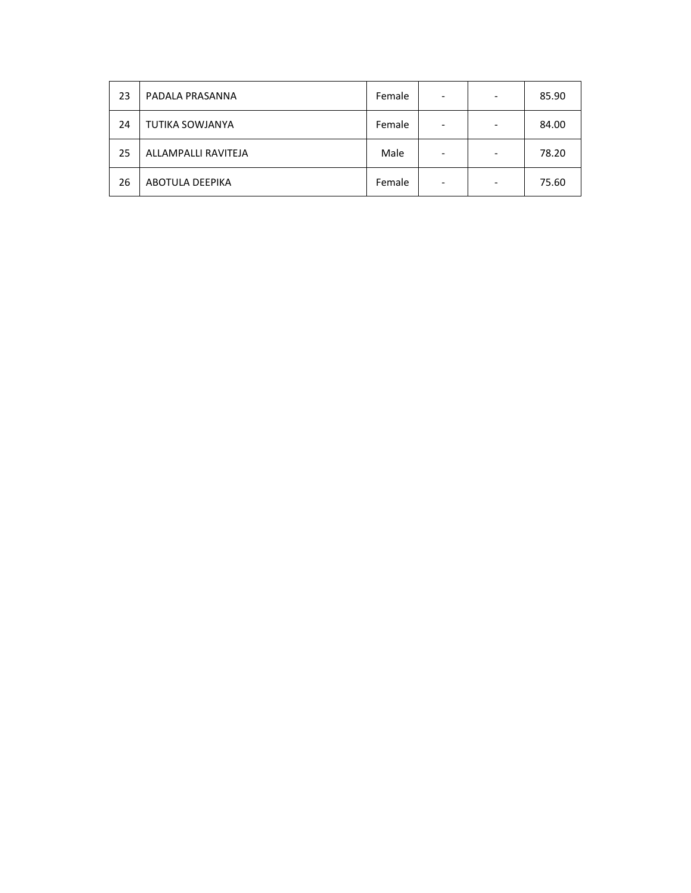| 23 | PADALA PRASANNA        | Female | ۰ | 85.90 |
|----|------------------------|--------|---|-------|
| 24 | <b>TUTIKA SOWJANYA</b> | Female | ۰ | 84.00 |
| 25 | ALLAMPALLI RAVITEJA    | Male   | - | 78.20 |
| 26 | <b>ABOTULA DEEPIKA</b> | Female | ۰ | 75.60 |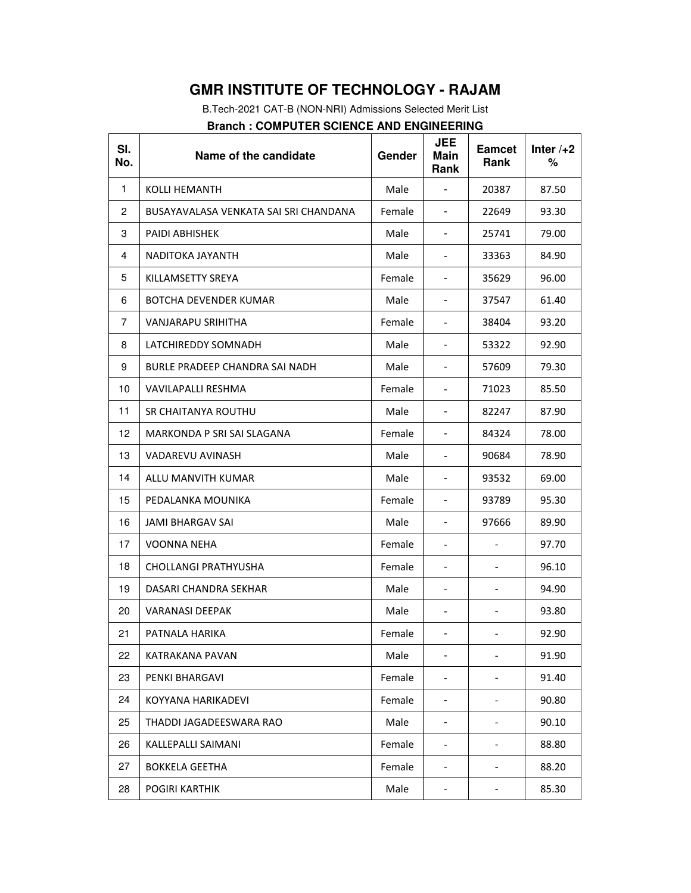B.Tech-2021 CAT-B (NON-NRI) Admissions Selected Merit List

| <b>Branch: COMPUTER SCIENCE AND ENGINEERING</b> |  |
|-------------------------------------------------|--|
|-------------------------------------------------|--|

| SI.<br>No. | Name of the candidate                 | Gender | <b>JEE</b><br>Main<br>Rank | <b>Eamcet</b><br>Rank        | Inter $/+2$<br>% |
|------------|---------------------------------------|--------|----------------------------|------------------------------|------------------|
| 1          | KOLLI HEMANTH                         | Male   |                            | 20387                        | 87.50            |
| 2          | BUSAYAVALASA VENKATA SAI SRI CHANDANA | Female | $\overline{\phantom{a}}$   | 22649                        | 93.30            |
| 3          | <b>PAIDI ABHISHEK</b>                 | Male   | $\overline{\phantom{a}}$   | 25741                        | 79.00            |
| 4          | NADITOKA JAYANTH                      | Male   | $\overline{\phantom{a}}$   | 33363                        | 84.90            |
| 5          | KILLAMSETTY SREYA                     | Female | -                          | 35629                        | 96.00            |
| 6          | BOTCHA DEVENDER KUMAR                 | Male   | $\overline{\phantom{a}}$   | 37547                        | 61.40            |
| 7          | VANJARAPU SRIHITHA                    | Female | $\overline{\phantom{a}}$   | 38404                        | 93.20            |
| 8          | LATCHIREDDY SOMNADH                   | Male   | $\overline{\phantom{a}}$   | 53322                        | 92.90            |
| 9          | BURLE PRADEEP CHANDRA SAI NADH        | Male   | $\overline{\phantom{a}}$   | 57609                        | 79.30            |
| 10         | VAVILAPALLI RESHMA                    | Female | $\overline{\phantom{0}}$   | 71023                        | 85.50            |
| 11         | SR CHAITANYA ROUTHU                   | Male   | $\overline{\phantom{a}}$   | 82247                        | 87.90            |
| 12         | MARKONDA P SRI SAI SLAGANA            | Female | $\overline{\phantom{a}}$   | 84324                        | 78.00            |
| 13         | VADAREVU AVINASH                      | Male   | $\overline{\phantom{a}}$   | 90684                        | 78.90            |
| 14         | ALLU MANVITH KUMAR                    | Male   | $\overline{\phantom{a}}$   | 93532                        | 69.00            |
| 15         | PEDALANKA MOUNIKA                     | Female | $\overline{\phantom{a}}$   | 93789                        | 95.30            |
| 16         | JAMI BHARGAV SAI                      | Male   | $\overline{\phantom{0}}$   | 97666                        | 89.90            |
| 17         | VOONNA NEHA                           | Female | $\overline{\phantom{0}}$   |                              | 97.70            |
| 18         | CHOLLANGI PRATHYUSHA                  | Female | $\overline{\phantom{a}}$   | $\qquad \qquad -$            | 96.10            |
| 19         | DASARI CHANDRA SEKHAR                 | Male   | $\overline{\phantom{a}}$   | $\qquad \qquad \blacksquare$ | 94.90            |
| 20         | <b>VARANASI DEEPAK</b>                | Male   | $\overline{\phantom{a}}$   | $\qquad \qquad \blacksquare$ | 93.80            |
| 21         | PATNALA HARIKA                        | Female | -                          | -                            | 92.90            |
| 22         | KATRAKANA PAVAN                       | Male   |                            |                              | 91.90            |
| 23         | PENKI BHARGAVI                        | Female | -                          |                              | 91.40            |
| 24         | KOYYANA HARIKADEVI                    | Female | $\overline{\phantom{0}}$   |                              | 90.80            |
| 25         | THADDI JAGADEESWARA RAO               | Male   | $\overline{\phantom{0}}$   | -                            | 90.10            |
| 26         | KALLEPALLI SAIMANI                    | Female | -                          |                              | 88.80            |
| 27         | <b>BOKKELA GEETHA</b>                 | Female | $\overline{\phantom{a}}$   | $\overline{\phantom{0}}$     | 88.20            |
| 28         | <b>POGIRI KARTHIK</b>                 | Male   |                            |                              | 85.30            |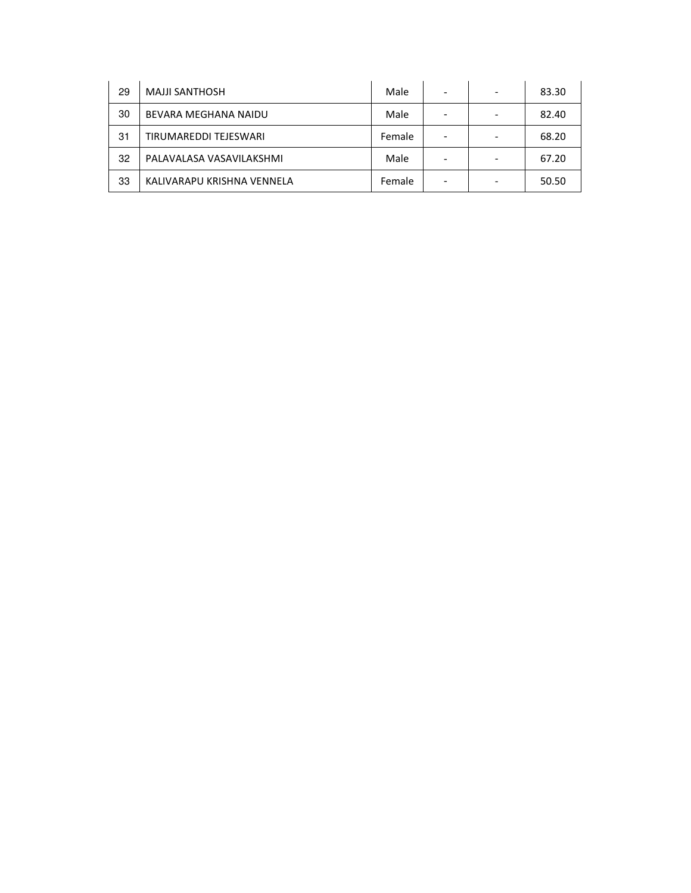| 29 | <b>MAJJI SANTHOSH</b>      | Male   |  | 83.30 |
|----|----------------------------|--------|--|-------|
| 30 | BEVARA MEGHANA NAIDU       | Male   |  | 82.40 |
| 31 | TIRUMAREDDI TEJESWARI      | Female |  | 68.20 |
| 32 | PALAVALASA VASAVILAKSHMI   | Male   |  | 67.20 |
| 33 | KALIVARAPU KRISHNA VENNELA | Female |  | 50.50 |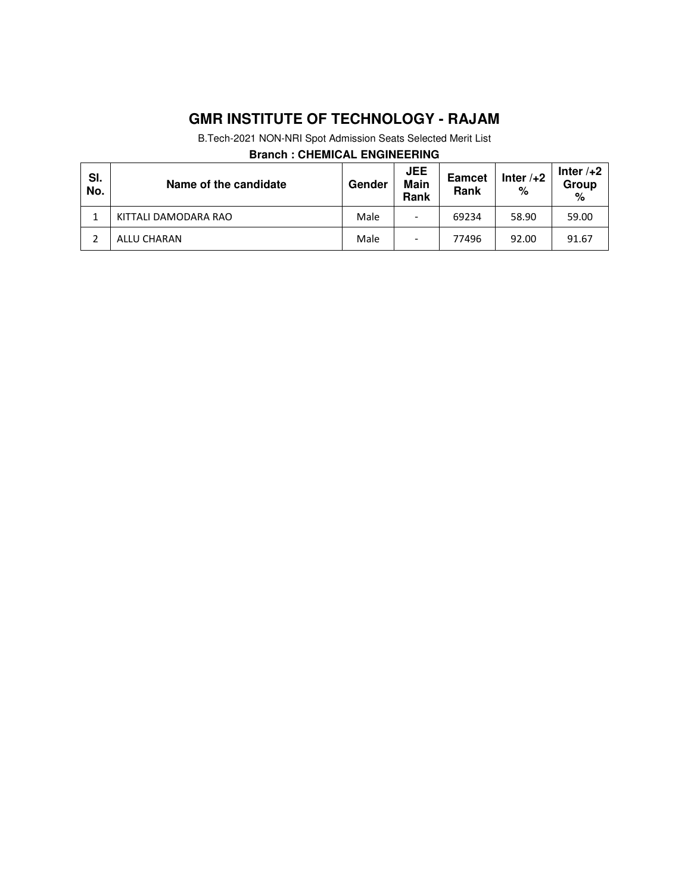B.Tech-2021 NON-NRI Spot Admission Seats Selected Merit List

### **Branch : CHEMICAL ENGINEERING**

| SI.<br>No. | Name of the candidate | Gender | <b>JEE</b><br>Main<br>Rank | <b>Eamcet</b><br>Rank | Inter $/+2$<br>% | Inter $/+2$<br>Group<br>% |
|------------|-----------------------|--------|----------------------------|-----------------------|------------------|---------------------------|
|            | KITTALI DAMODARA RAO  | Male   | $\overline{\phantom{0}}$   | 69234                 | 58.90            | 59.00                     |
|            | ALLU CHARAN           | Male   | $\overline{\phantom{0}}$   | 77496                 | 92.00            | 91.67                     |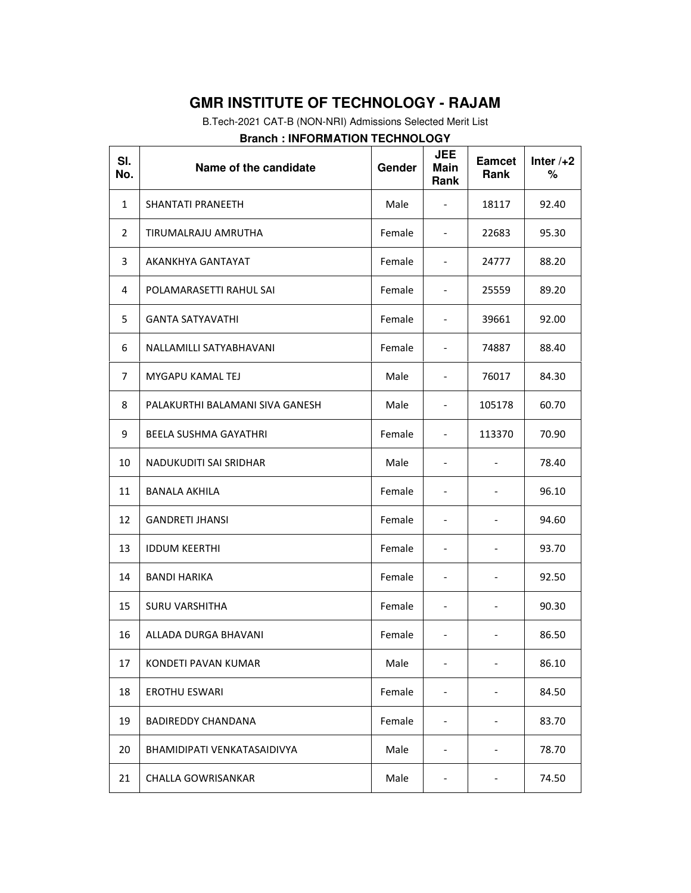B.Tech-2021 CAT-B (NON-NRI) Admissions Selected Merit List

| SI.<br>No.   | Name of the candidate           | Gender | <b>JEE</b><br><b>Main</b><br>Rank | <b>Eamcet</b><br>Rank        | Inter $/+2$<br>% |
|--------------|---------------------------------|--------|-----------------------------------|------------------------------|------------------|
| $\mathbf{1}$ | SHANTATI PRANEETH               | Male   | $\overline{\phantom{0}}$          | 18117                        | 92.40            |
| 2            | TIRUMALRAJU AMRUTHA             | Female | $\overline{\phantom{0}}$          | 22683                        | 95.30            |
| 3            | AKANKHYA GANTAYAT               | Female | $\overline{a}$                    | 24777                        | 88.20            |
| 4            | POLAMARASETTI RAHUL SAI         | Female | $\overline{\phantom{0}}$          | 25559                        | 89.20            |
| 5            | <b>GANTA SATYAVATHI</b>         | Female | $\overline{\phantom{0}}$          | 39661                        | 92.00            |
| 6            | NALLAMILLI SATYABHAVANI         | Female | $\overline{\phantom{0}}$          | 74887                        | 88.40            |
| 7            | MYGAPU KAMAL TEJ                | Male   | $\overline{a}$                    | 76017                        | 84.30            |
| 8            | PALAKURTHI BALAMANI SIVA GANESH | Male   |                                   | 105178                       | 60.70            |
| 9            | <b>BEELA SUSHMA GAYATHRI</b>    | Female | $\overline{a}$                    | 113370                       | 70.90            |
| 10           | NADUKUDITI SAI SRIDHAR          | Male   | $\overline{\phantom{0}}$          | $\overline{\phantom{a}}$     | 78.40            |
| 11           | BANALA AKHILA                   | Female | $\overline{\phantom{0}}$          |                              | 96.10            |
| 12           | <b>GANDRETI JHANSI</b>          | Female | $\overline{\phantom{0}}$          | $\qquad \qquad \blacksquare$ | 94.60            |
| 13           | <b>IDDUM KEERTHI</b>            | Female | $\overline{\phantom{0}}$          | $\overline{\phantom{a}}$     | 93.70            |
| 14           | <b>BANDI HARIKA</b>             | Female | $\overline{\phantom{a}}$          | $\qquad \qquad \blacksquare$ | 92.50            |
| 15           | <b>SURU VARSHITHA</b>           | Female | $\overline{\phantom{0}}$          | $\qquad \qquad \blacksquare$ | 90.30            |
| 16           | ALLADA DURGA BHAVANI            | Female |                                   |                              | 86.50            |
| 17           | KONDETI PAVAN KUMAR             | Male   | -                                 |                              | 86.10            |
| 18           | <b>EROTHU ESWARI</b>            | Female |                                   |                              | 84.50            |
| 19           | <b>BADIREDDY CHANDANA</b>       | Female | $\overline{\phantom{0}}$          | -                            | 83.70            |
| 20           | BHAMIDIPATI VENKATASAIDIVYA     | Male   | $\overline{a}$                    | -                            | 78.70            |
| 21           | <b>CHALLA GOWRISANKAR</b>       | Male   |                                   |                              | 74.50            |

### **Branch : INFORMATION TECHNOLOGY**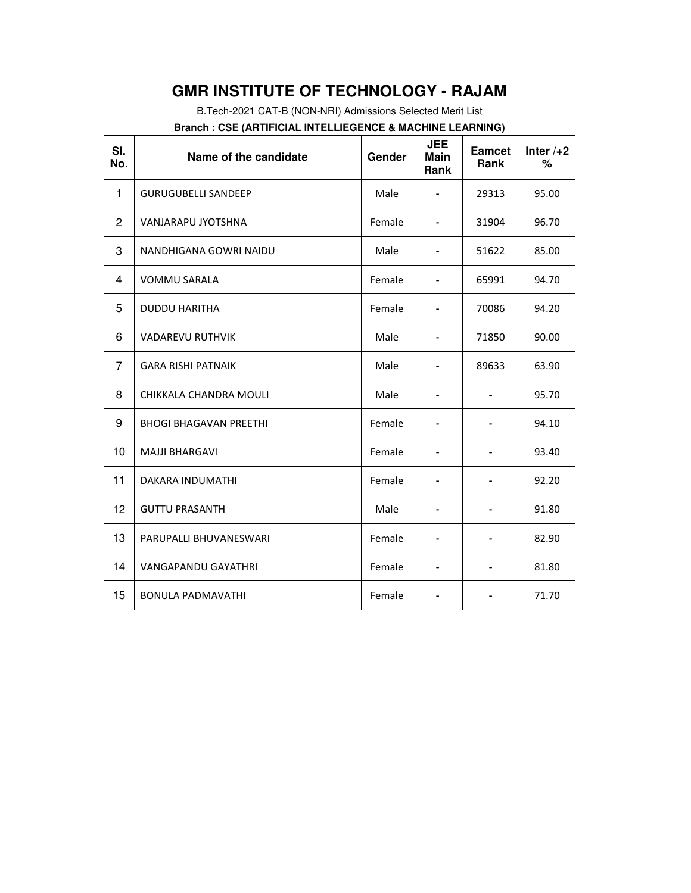B.Tech-2021 CAT-B (NON-NRI) Admissions Selected Merit List

| SI.<br>No.     | Name of the candidate         | Gender | <b>JEE</b><br><b>Main</b><br>Rank | <b>Eamcet</b><br>Rank | Inter $/+2$<br>% |
|----------------|-------------------------------|--------|-----------------------------------|-----------------------|------------------|
| 1              | <b>GURUGUBELLI SANDEEP</b>    | Male   |                                   | 29313                 | 95.00            |
| $\overline{c}$ | VANJARAPU JYOTSHNA            | Female | $\blacksquare$                    | 31904                 | 96.70            |
| 3              | NANDHIGANA GOWRI NAIDU        | Male   | $\overline{\phantom{0}}$          | 51622                 | 85.00            |
| 4              | <b>VOMMU SARALA</b>           | Female | $\blacksquare$                    | 65991                 | 94.70            |
| 5              | <b>DUDDU HARITHA</b>          | Female | $\overline{\phantom{0}}$          | 70086                 | 94.20            |
| 6              | <b>VADAREVU RUTHVIK</b>       | Male   | -                                 | 71850                 | 90.00            |
| $\overline{7}$ | <b>GARA RISHI PATNAIK</b>     | Male   | $\overline{\phantom{a}}$          | 89633                 | 63.90            |
| 8              | CHIKKALA CHANDRA MOULI        | Male   |                                   |                       | 95.70            |
| 9              | <b>BHOGI BHAGAVAN PREETHI</b> | Female | $\qquad \qquad \blacksquare$      |                       | 94.10            |
| 10             | <b>MAJJI BHARGAVI</b>         | Female |                                   |                       | 93.40            |
| 11             | DAKARA INDUMATHI              | Female |                                   |                       | 92.20            |
| 12             | <b>GUTTU PRASANTH</b>         | Male   |                                   |                       | 91.80            |
| 13             | PARUPALLI BHUVANESWARI        | Female |                                   |                       | 82.90            |
| 14             | <b>VANGAPANDU GAYATHRI</b>    | Female |                                   |                       | 81.80            |
| 15             | <b>BONULA PADMAVATHI</b>      | Female |                                   |                       | 71.70            |
|                |                               |        |                                   |                       |                  |

**Branch : CSE (ARTIFICIAL INTELLIEGENCE & MACHINE LEARNING)**